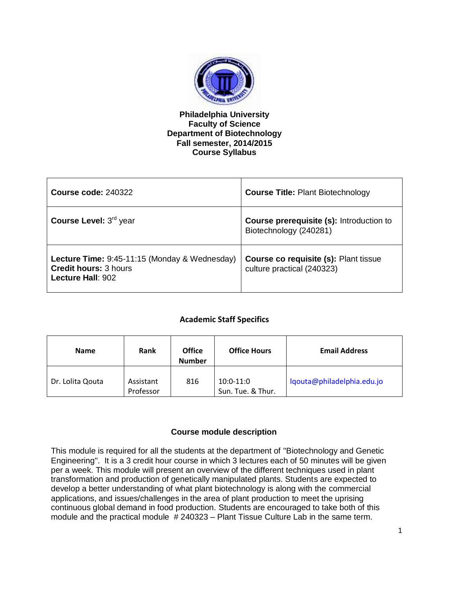

### **Philadelphia University Faculty of Science Department of Biotechnology Fall semester, 2014/2015 Course Syllabus**

| <b>Course code: 240322</b>                                                                                    | <b>Course Title: Plant Biotechnology</b>                                  |
|---------------------------------------------------------------------------------------------------------------|---------------------------------------------------------------------------|
| Course Level: 3 <sup>rd</sup> year                                                                            | <b>Course prerequisite (s):</b> Introduction to<br>Biotechnology (240281) |
| <b>Lecture Time: 9:45-11:15 (Monday &amp; Wednesday)</b><br><b>Credit hours: 3 hours</b><br>Lecture Hall: 902 | Course co requisite (s): Plant tissue<br>culture practical (240323)       |

### **Academic Staff Specifics**

| <b>Name</b>      | <b>Rank</b>            | <b>Office</b><br><b>Number</b> | <b>Office Hours</b>              | <b>Email Address</b>       |
|------------------|------------------------|--------------------------------|----------------------------------|----------------------------|
| Dr. Lolita Qouta | Assistant<br>Professor | 816                            | $10:0-11:0$<br>Sun. Tue. & Thur. | lgouta@philadelphia.edu.jo |

### **Course module description**

This module is required for all the students at the department of "Biotechnology and Genetic Engineering". It is a 3 credit hour course in which 3 lectures each of 50 minutes will be given per a week. This module will present an overview of the different techniques used in plant transformation and production of genetically manipulated plants. Students are expected to develop a better understanding of what plant biotechnology is along with the commercial applications, and issues/challenges in the area of plant production to meet the uprising continuous global demand in food production. Students are encouraged to take both of this module and the practical module # 240323 – Plant Tissue Culture Lab in the same term.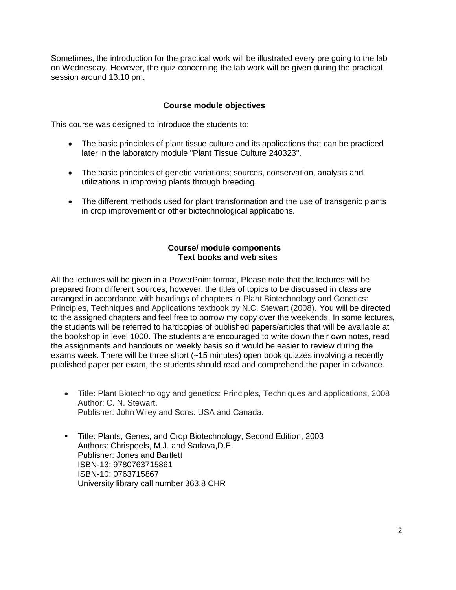Sometimes, the introduction for the practical work will be illustrated every pre going to the lab on Wednesday. However, the quiz concerning the lab work will be given during the practical session around 13:10 pm.

### **Course module objectives**

This course was designed to introduce the students to:

- The basic principles of plant tissue culture and its applications that can be practiced later in the laboratory module "Plant Tissue Culture 240323".
- The basic principles of genetic variations; sources, conservation, analysis and utilizations in improving plants through breeding.
- The different methods used for plant transformation and the use of transgenic plants in crop improvement or other biotechnological applications.

### **Course/ module components Text books and web sites**

All the lectures will be given in a PowerPoint format, Please note that the lectures will be prepared from different sources, however, the titles of topics to be discussed in class are arranged in accordance with headings of chapters in Plant Biotechnology and Genetics: Principles, Techniques and Applications textbook by N.C. Stewart (2008). You will be directed to the assigned chapters and feel free to borrow my copy over the weekends. In some lectures, the students will be referred to hardcopies of published papers/articles that will be available at the bookshop in level 1000. The students are encouraged to write down their own notes, read the assignments and handouts on weekly basis so it would be easier to review during the exams week. There will be three short (~15 minutes) open book quizzes involving a recently published paper per exam, the students should read and comprehend the paper in advance.

- Title: Plant Biotechnology and genetics: Principles, Techniques and applications, 2008 Author: C. N. Stewart. Publisher: John Wiley and Sons. USA and Canada.
- Title: Plants, Genes, and Crop Biotechnology, Second Edition, 2003 Authors: Chrispeels, M.J. and Sadava,D.E. Publisher: Jones and Bartlett ISBN-13: 9780763715861 ISBN-10: 0763715867 University library call number 363.8 CHR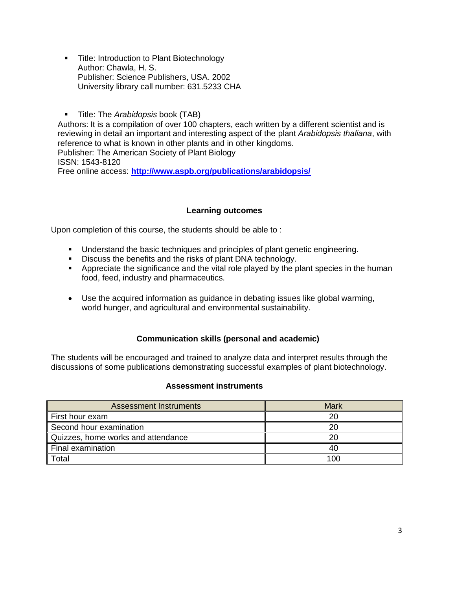- **Title: Introduction to Plant Biotechnology** Author: Chawla, H. S. Publisher: Science Publishers, USA. 2002 University library call number: 631.5233 CHA
- Title: The *Arabidopsis* book (TAB)

Authors: It is a compilation of over 100 chapters, each written by a different scientist and is reviewing in detail an important and interesting aspect of the plant *Arabidopsis thaliana*, with reference to what is known in other plants and in other kingdoms. Publisher: The American Society of Plant Biology

ISSN: 1543-8120

Free online access: **<http://www.aspb.org/publications/arabidopsis/>**

## **Learning outcomes**

Upon completion of this course, the students should be able to :

- Understand the basic techniques and principles of plant genetic engineering.
- Discuss the benefits and the risks of plant DNA technology.
- **•** Appreciate the significance and the vital role played by the plant species in the human food, feed, industry and pharmaceutics.
- Use the acquired information as guidance in debating issues like global warming, world hunger, and agricultural and environmental sustainability.

## **Communication skills (personal and academic)**

The students will be encouraged and trained to analyze data and interpret results through the discussions of some publications demonstrating successful examples of plant biotechnology.

#### **Assessment instruments**

| <b>Assessment Instruments</b>      | <b>Mark</b> |
|------------------------------------|-------------|
| First hour exam                    | 20          |
| Second hour examination            | 20          |
| Quizzes, home works and attendance | 20          |
| Final examination                  | 40          |
| Total                              | 100         |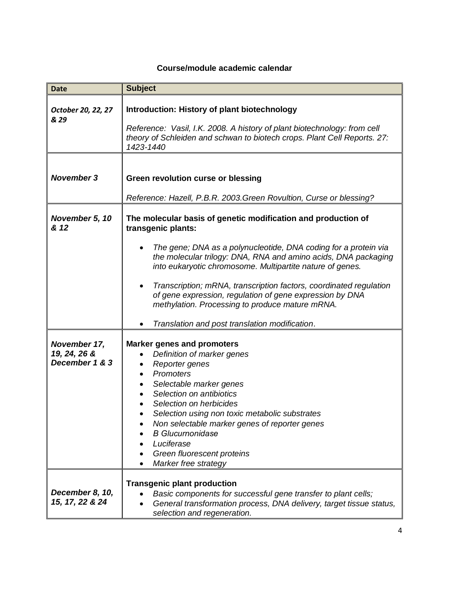# **Course/module academic calendar**

| <b>Date</b>                                    | <b>Subject</b>                                                                                                                                                                                                                                                                                                                                                                                                    |
|------------------------------------------------|-------------------------------------------------------------------------------------------------------------------------------------------------------------------------------------------------------------------------------------------------------------------------------------------------------------------------------------------------------------------------------------------------------------------|
| October 20, 22, 27<br>& 29                     | Introduction: History of plant biotechnology<br>Reference: Vasil, I.K. 2008. A history of plant biotechnology: from cell<br>theory of Schleiden and schwan to biotech crops. Plant Cell Reports. 27:<br>1423-1440                                                                                                                                                                                                 |
| <b>November 3</b>                              | Green revolution curse or blessing<br>Reference: Hazell, P.B.R. 2003. Green Rovultion, Curse or blessing?                                                                                                                                                                                                                                                                                                         |
| November 5, 10<br>& 12                         | The molecular basis of genetic modification and production of<br>transgenic plants:<br>The gene; DNA as a polynucleotide, DNA coding for a protein via<br>the molecular trilogy: DNA, RNA and amino acids, DNA packaging                                                                                                                                                                                          |
|                                                | into eukaryotic chromosome. Multipartite nature of genes.<br>Transcription; mRNA, transcription factors, coordinated regulation<br>٠<br>of gene expression, regulation of gene expression by DNA<br>methylation. Processing to produce mature mRNA.<br>Translation and post translation modification.                                                                                                             |
| November 17,<br>19, 24, 26 &<br>December 1 & 3 | <b>Marker genes and promoters</b><br>Definition of marker genes<br>Reporter genes<br>٠<br>Promoters<br>$\bullet$<br>Selectable marker genes<br>$\bullet$<br>Selection on antibiotics<br>Selection on herbicides<br>Selection using non toxic metabolic substrates<br>Non selectable marker genes of reporter genes<br><b>B</b> Glucurnonidase<br>Luciferase<br>Green fluorescent proteins<br>Marker free strategy |
| December 8, 10,<br>15, 17, 22 & 24             | <b>Transgenic plant production</b><br>Basic components for successful gene transfer to plant cells;<br>General transformation process, DNA delivery, target tissue status,<br>selection and regeneration.                                                                                                                                                                                                         |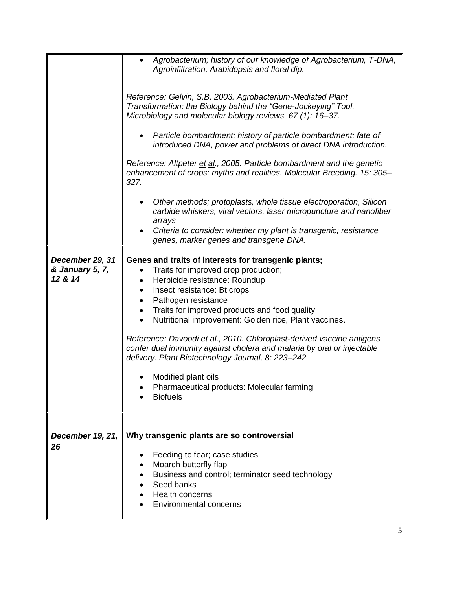|                                               | Agrobacterium; history of our knowledge of Agrobacterium, T-DNA,<br>Agroinfiltration, Arabidopsis and floral dip.                                                                                                     |
|-----------------------------------------------|-----------------------------------------------------------------------------------------------------------------------------------------------------------------------------------------------------------------------|
|                                               | Reference: Gelvin, S.B. 2003. Agrobacterium-Mediated Plant<br>Transformation: the Biology behind the "Gene-Jockeying" Tool.<br>Microbiology and molecular biology reviews. 67 (1): 16-37.                             |
|                                               | Particle bombardment; history of particle bombardment; fate of<br>introduced DNA, power and problems of direct DNA introduction.                                                                                      |
|                                               | Reference: Altpeter et al., 2005. Particle bombardment and the genetic<br>enhancement of crops: myths and realities. Molecular Breeding. 15: 305-<br>327.                                                             |
|                                               | Other methods; protoplasts, whole tissue electroporation, Silicon<br>carbide whiskers, viral vectors, laser micropuncture and nanofiber<br>arrays<br>Criteria to consider: whether my plant is transgenic; resistance |
|                                               | genes, marker genes and transgene DNA.                                                                                                                                                                                |
| December 29, 31<br>& January 5, 7,<br>12 & 14 | Genes and traits of interests for transgenic plants;<br>Traits for improved crop production;<br>Herbicide resistance: Roundup<br>٠<br>Insect resistance: Bt crops<br>$\bullet$<br>Pathogen resistance                 |
|                                               | Traits for improved products and food quality<br>Nutritional improvement: Golden rice, Plant vaccines.                                                                                                                |
|                                               | Reference: Davoodi et al., 2010. Chloroplast-derived vaccine antigens<br>confer dual immunity against cholera and malaria by oral or injectable<br>delivery. Plant Biotechnology Journal, 8: 223-242.                 |
|                                               | Modified plant oils<br>Pharmaceutical products: Molecular farming<br><b>Biofuels</b>                                                                                                                                  |
| December 19, 21,<br>26                        | Why transgenic plants are so controversial                                                                                                                                                                            |
|                                               | Feeding to fear; case studies<br>Moarch butterfly flap<br>Business and control; terminator seed technology<br>Seed banks                                                                                              |
|                                               | Health concerns<br><b>Environmental concerns</b>                                                                                                                                                                      |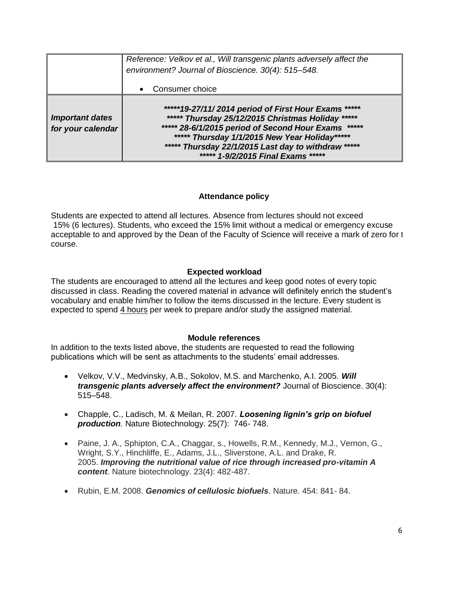|                                             | Reference: Velkov et al., Will transgenic plants adversely affect the<br>environment? Journal of Bioscience. 30(4): 515-548.                                                                                                                                                                                        |  |
|---------------------------------------------|---------------------------------------------------------------------------------------------------------------------------------------------------------------------------------------------------------------------------------------------------------------------------------------------------------------------|--|
|                                             | Consumer choice                                                                                                                                                                                                                                                                                                     |  |
| <b>Important dates</b><br>for your calendar | *****19-27/11/2014 period of First Hour Exams *****<br>***** Thursday 25/12/2015 Christmas Holiday<br>*****<br>***** 28-6/1/2015 period of Second Hour Exams<br>*****<br>***** Thursday 1/1/2015 New Year Holiday*****<br>***** Thursday 22/1/2015 Last day to withdraw *****<br>***** 1-9/2/2015 Final Exams ***** |  |

#### **Attendance policy**

Students are expected to attend all lectures. Absence from lectures should not exceed 15% (6 lectures). Students, who exceed the 15% limit without a medical or emergency excuse acceptable to and approved by the Dean of the Faculty of Science will receive a mark of zero for 1 course.

### **Expected workload**

The students are encouraged to attend all the lectures and keep good notes of every topic discussed in class. Reading the covered material in advance will definitely enrich the student's vocabulary and enable him/her to follow the items discussed in the lecture. Every student is expected to spend 4 hours per week to prepare and/or study the assigned material.

#### **Module references**

In addition to the texts listed above, the students are requested to read the following publications which will be sent as attachments to the students' email addresses.

- Velkov, V.V., Medvinsky, A.B., Sokolov, M.S. and Marchenko, A.I. 2005. *Will transgenic plants adversely affect the environment?* Journal of Bioscience. 30(4): 515–548.
- Chapple, C., Ladisch, M. & Meilan, R. 2007*. Loosening lignin's grip on biofuel production.* Nature Biotechnology. 25(7): 746- 748.
- Paine, J. A., Sphipton, C.A., Chaggar, s., Howells, R.M., Kennedy, M.J., Vernon, G., Wright, S.Y., Hinchliffe, E., Adams, J.L., Sliverstone, A.L. and Drake, R. 2005. *Improving the nutritional value of rice through increased pro-vitamin A content.* Nature biotechnology. 23(4): 482-487.
- Rubin, E.M. 2008. *Genomics of cellulosic biofuels*. Nature. 454: 841- 84.